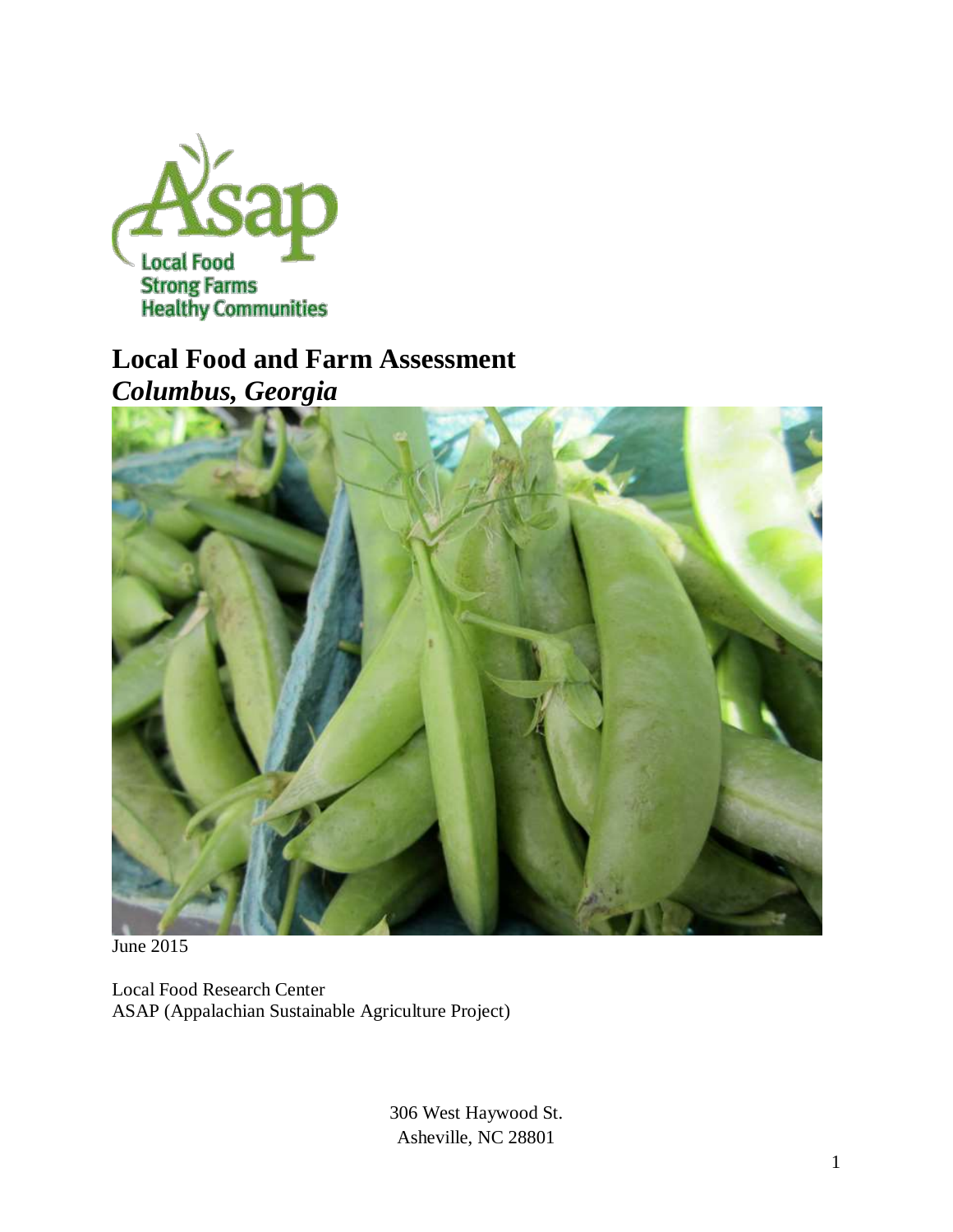

# **Local Food and Farm Assessment** *Columbus, Georgia*



June 2015

Local Food Research Center ASAP (Appalachian Sustainable Agriculture Project)

> 306 West Haywood St. Asheville, NC 28801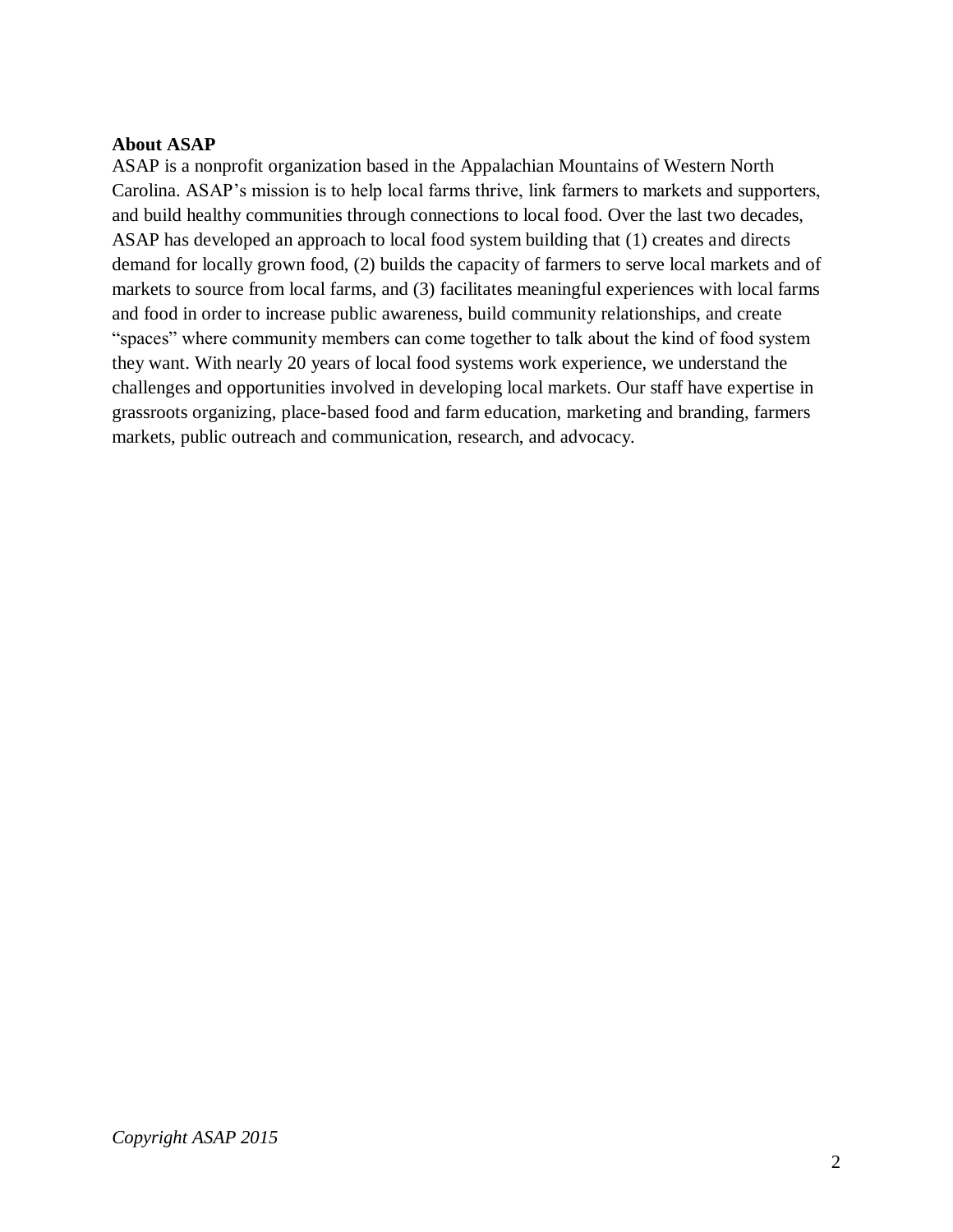#### **About ASAP**

ASAP is a nonprofit organization based in the Appalachian Mountains of Western North Carolina. ASAP's mission is to help local farms thrive, link farmers to markets and supporters, and build healthy communities through connections to local food. Over the last two decades, ASAP has developed an approach to local food system building that (1) creates and directs demand for locally grown food, (2) builds the capacity of farmers to serve local markets and of markets to source from local farms, and (3) facilitates meaningful experiences with local farms and food in order to increase public awareness, build community relationships, and create "spaces" where community members can come together to talk about the kind of food system they want. With nearly 20 years of local food systems work experience, we understand the challenges and opportunities involved in developing local markets. Our staff have expertise in grassroots organizing, place-based food and farm education, marketing and branding, farmers markets, public outreach and communication, research, and advocacy.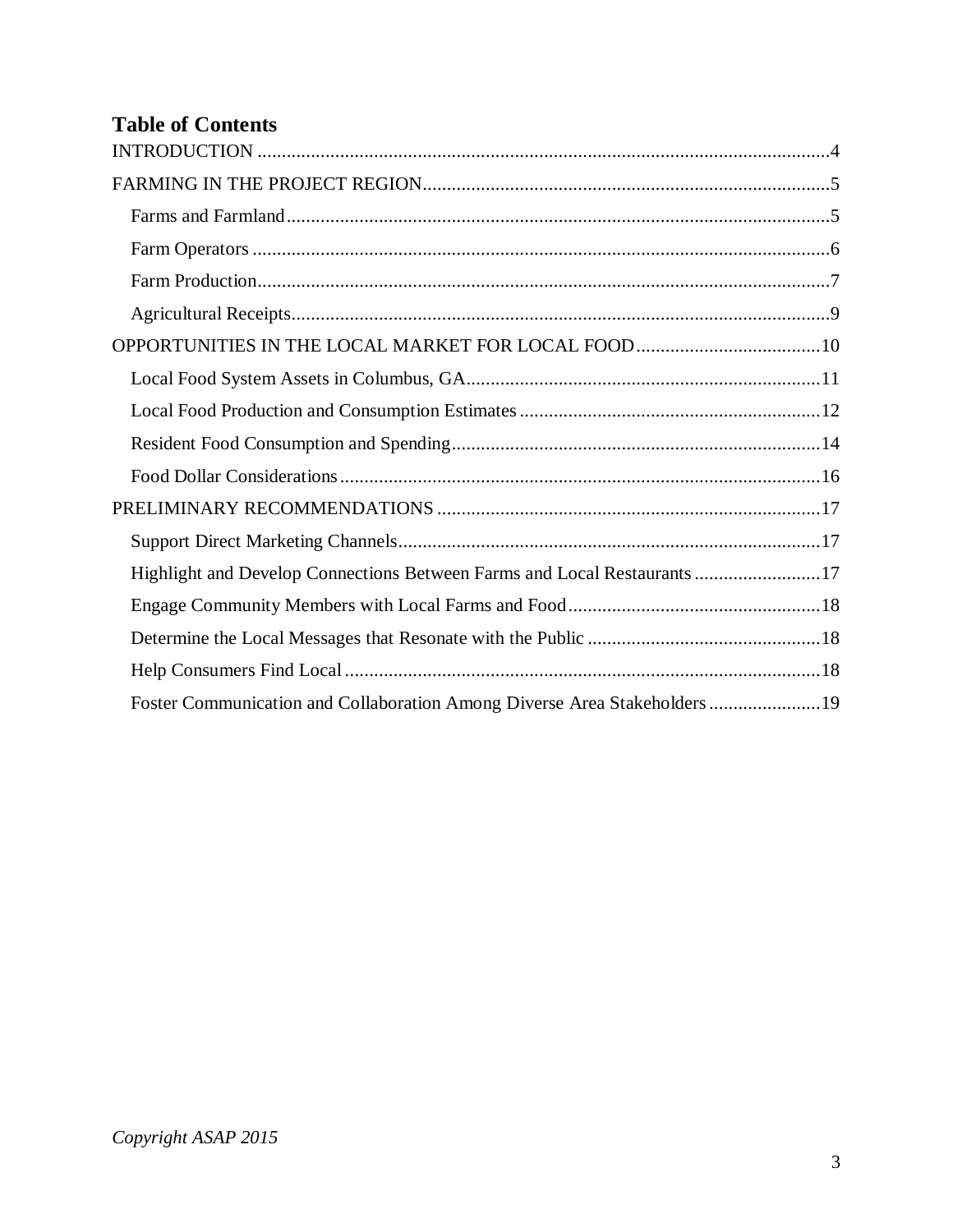## **Table of Contents**

| Highlight and Develop Connections Between Farms and Local Restaurants17   |  |
|---------------------------------------------------------------------------|--|
|                                                                           |  |
|                                                                           |  |
|                                                                           |  |
| Foster Communication and Collaboration Among Diverse Area Stakeholders 19 |  |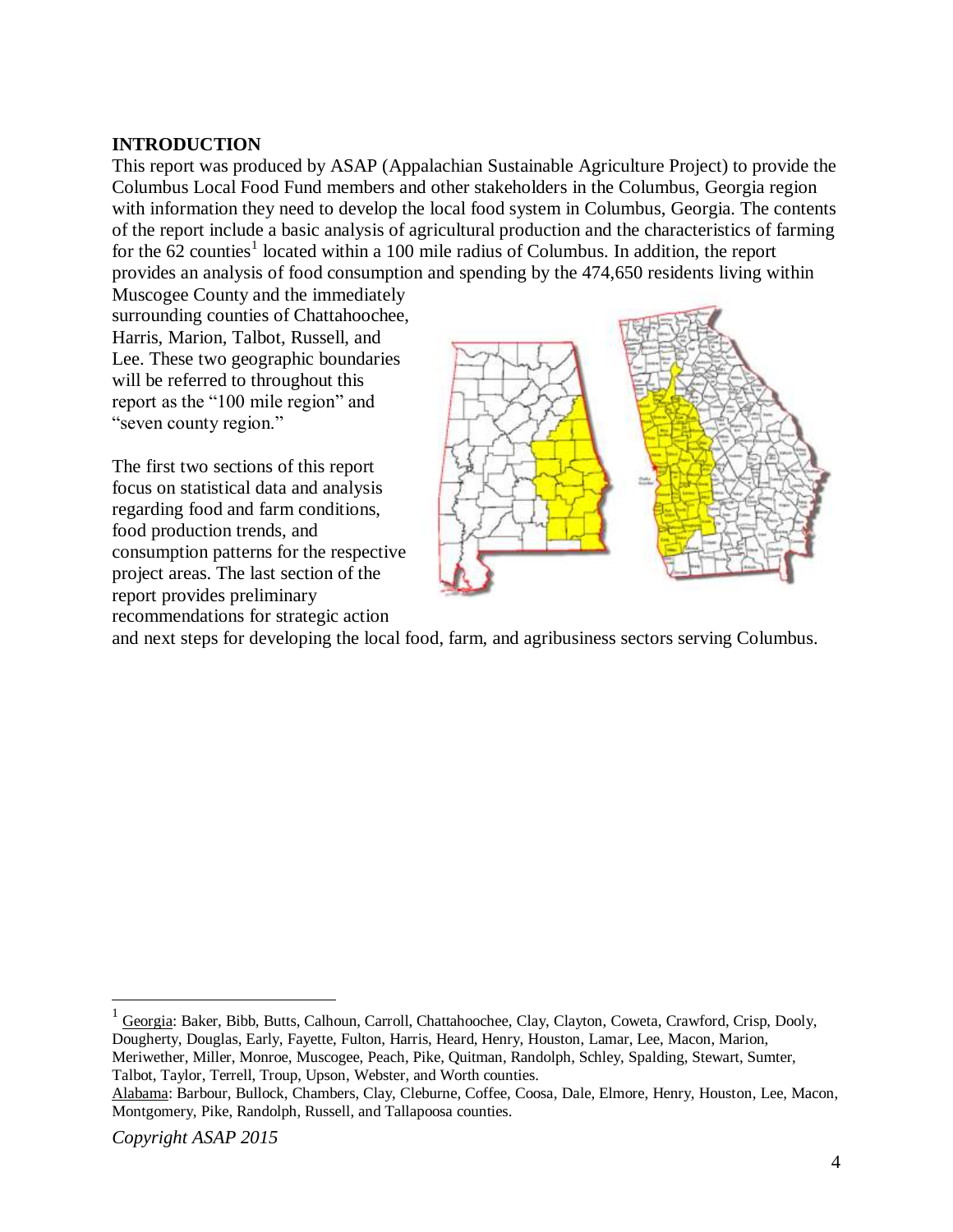## <span id="page-3-0"></span>**INTRODUCTION**

This report was produced by ASAP (Appalachian Sustainable Agriculture Project) to provide the Columbus Local Food Fund members and other stakeholders in the Columbus, Georgia region with information they need to develop the local food system in Columbus, Georgia. The contents of the report include a basic analysis of agricultural production and the characteristics of farming for the  $62$  counties<sup>1</sup> located within a 100 mile radius of Columbus. In addition, the report provides an analysis of food consumption and spending by the 474,650 residents living within

Muscogee County and the immediately surrounding counties of Chattahoochee, Harris, Marion, Talbot, Russell, and Lee. These two geographic boundaries will be referred to throughout this report as the "100 mile region" and "seven county region."

The first two sections of this report focus on statistical data and analysis regarding food and farm conditions, food production trends, and consumption patterns for the respective project areas. The last section of the report provides preliminary recommendations for strategic action



and next steps for developing the local food, farm, and agribusiness sectors serving Columbus.

1 Georgia: Baker, Bibb, Butts, Calhoun, Carroll, Chattahoochee, Clay, Clayton, Coweta, Crawford, Crisp, Dooly, Dougherty, Douglas, Early, Fayette, Fulton, Harris, Heard, Henry, Houston, Lamar, Lee, Macon, Marion, Meriwether, Miller, Monroe, Muscogee, Peach, Pike, Quitman, Randolph, Schley, Spalding, Stewart, Sumter, Talbot, Taylor, Terrell, Troup, Upson, Webster, and Worth counties.

Alabama: Barbour, Bullock, Chambers, Clay, Cleburne, Coffee, Coosa, Dale, Elmore, Henry, Houston, Lee, Macon, Montgomery, Pike, Randolph, Russell, and Tallapoosa counties.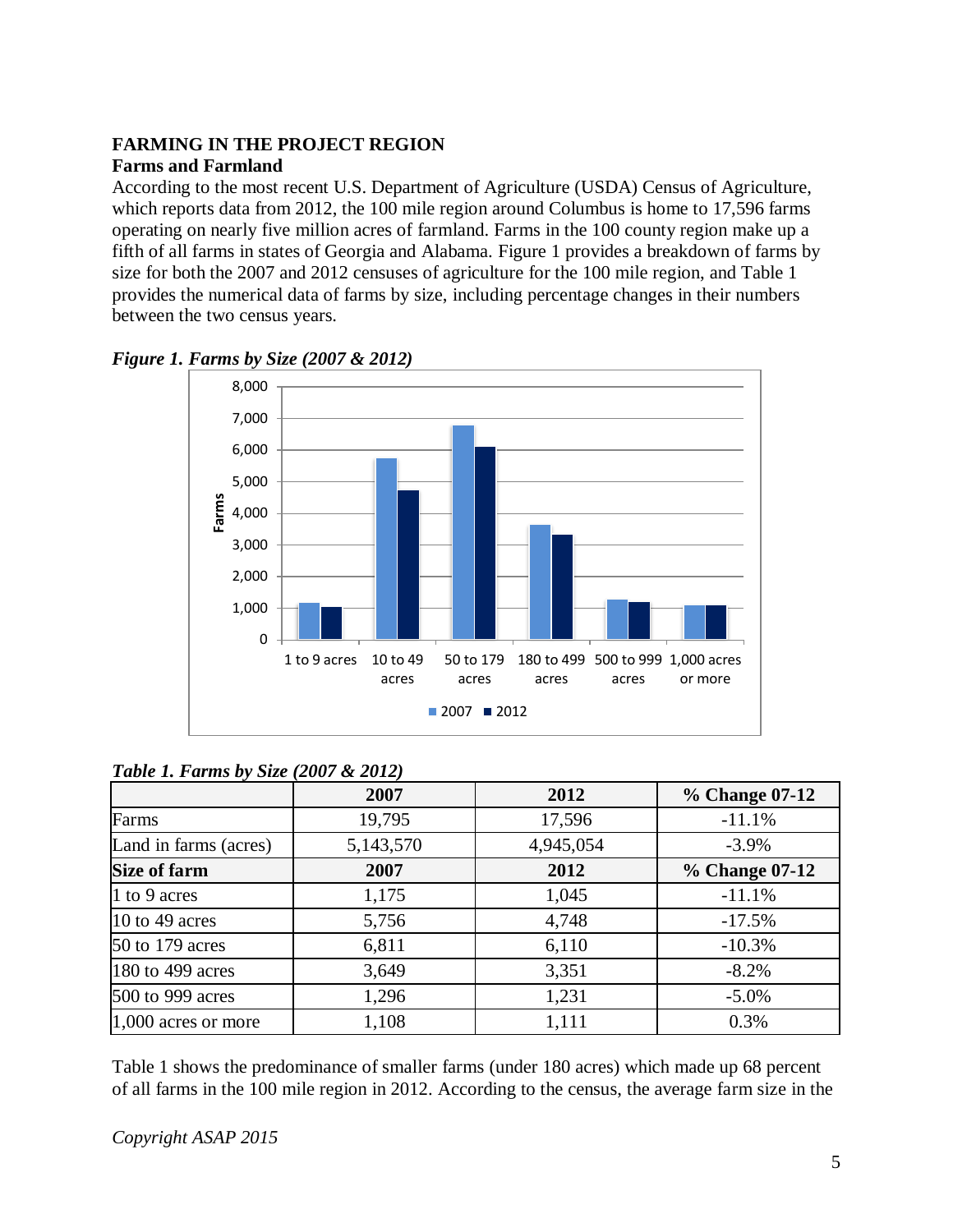## <span id="page-4-0"></span>**FARMING IN THE PROJECT REGION**

## <span id="page-4-1"></span>**Farms and Farmland**

According to the most recent U.S. Department of Agriculture (USDA) Census of Agriculture, which reports data from 2012, the 100 mile region around Columbus is home to 17,596 farms operating on nearly five million acres of farmland. Farms in the 100 county region make up a fifth of all farms in states of Georgia and Alabama. Figure 1 provides a breakdown of farms by size for both the 2007 and 2012 censuses of agriculture for the 100 mile region, and Table 1 provides the numerical data of farms by size, including percentage changes in their numbers between the two census years.



#### *Figure 1. Farms by Size (2007 & 2012)*

## *Table 1. Farms by Size (2007 & 2012)*

|                       | 2007      | 2012      | % Change 07-12 |
|-----------------------|-----------|-----------|----------------|
| Farms                 | 19,795    | 17,596    | $-11.1%$       |
| Land in farms (acres) | 5,143,570 | 4,945,054 | $-3.9\%$       |
| <b>Size of farm</b>   | 2007      | 2012      | % Change 07-12 |
| 1 to 9 acres          | 1,175     | 1,045     | $-11.1%$       |
| 10 to 49 acres        | 5,756     | 4,748     | $-17.5%$       |
| 50 to 179 acres       | 6,811     | 6,110     | $-10.3%$       |
| 180 to 499 acres      | 3,649     | 3,351     | $-8.2%$        |
| 500 to 999 acres      | 1,296     | 1,231     | $-5.0\%$       |
| $1,000$ acres or more | 1,108     | 1,111     | 0.3%           |

Table 1 shows the predominance of smaller farms (under 180 acres) which made up 68 percent of all farms in the 100 mile region in 2012. According to the census, the average farm size in the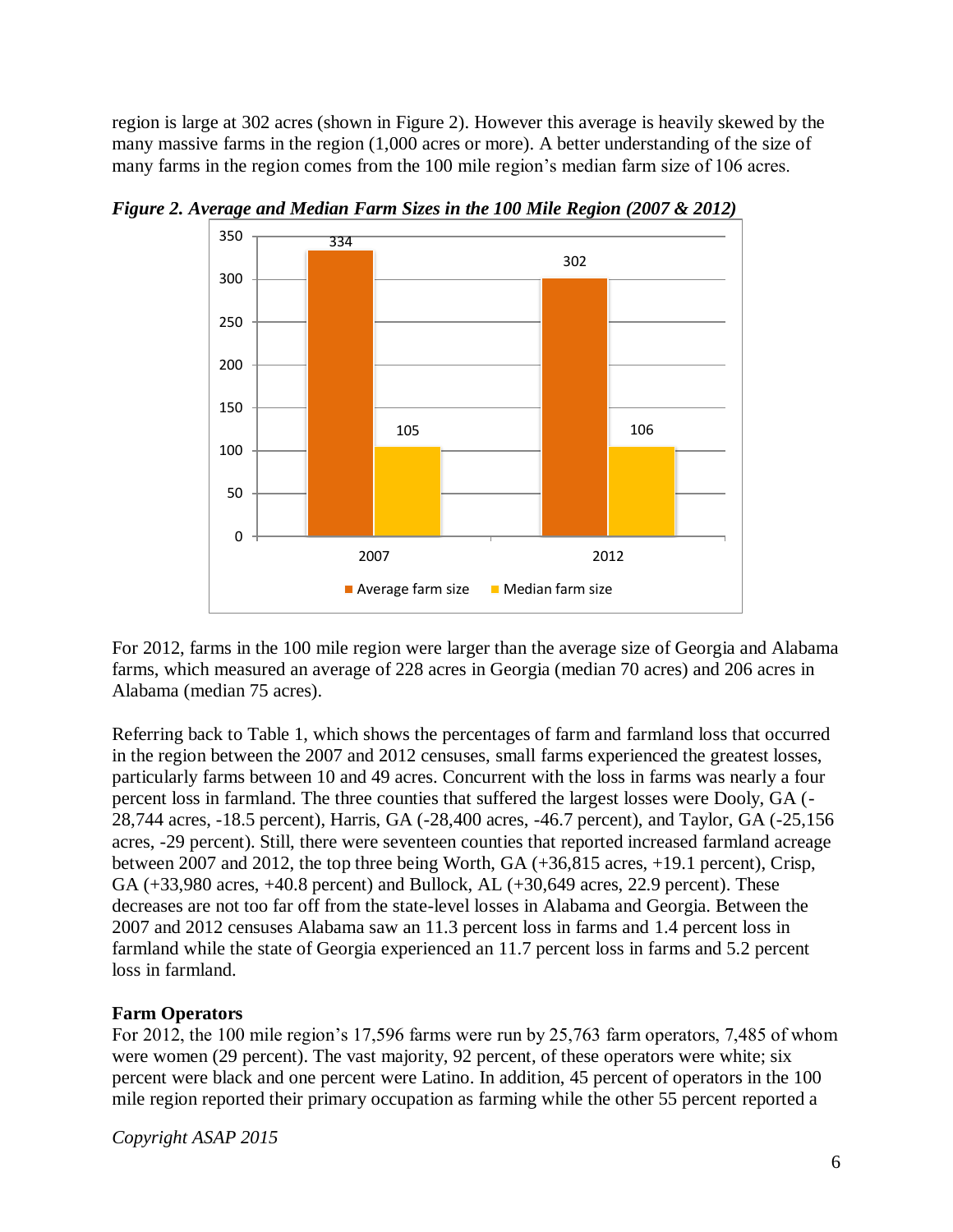region is large at 302 acres (shown in Figure 2). However this average is heavily skewed by the many massive farms in the region (1,000 acres or more). A better understanding of the size of many farms in the region comes from the 100 mile region's median farm size of 106 acres.



*Figure 2. Average and Median Farm Sizes in the 100 Mile Region (2007 & 2012)*

For 2012, farms in the 100 mile region were larger than the average size of Georgia and Alabama farms, which measured an average of 228 acres in Georgia (median 70 acres) and 206 acres in Alabama (median 75 acres).

Referring back to Table 1, which shows the percentages of farm and farmland loss that occurred in the region between the 2007 and 2012 censuses, small farms experienced the greatest losses, particularly farms between 10 and 49 acres. Concurrent with the loss in farms was nearly a four percent loss in farmland. The three counties that suffered the largest losses were Dooly, GA (- 28,744 acres, -18.5 percent), Harris, GA (-28,400 acres, -46.7 percent), and Taylor, GA (-25,156 acres, -29 percent). Still, there were seventeen counties that reported increased farmland acreage between 2007 and 2012, the top three being Worth, GA (+36,815 acres, +19.1 percent), Crisp, GA (+33,980 acres, +40.8 percent) and Bullock, AL (+30,649 acres, 22.9 percent). These decreases are not too far off from the state-level losses in Alabama and Georgia. Between the 2007 and 2012 censuses Alabama saw an 11.3 percent loss in farms and 1.4 percent loss in farmland while the state of Georgia experienced an 11.7 percent loss in farms and 5.2 percent loss in farmland.

## <span id="page-5-0"></span>**Farm Operators**

For 2012, the 100 mile region's 17,596 farms were run by 25,763 farm operators, 7,485 of whom were women (29 percent). The vast majority, 92 percent, of these operators were white; six percent were black and one percent were Latino. In addition, 45 percent of operators in the 100 mile region reported their primary occupation as farming while the other 55 percent reported a

*Copyright ASAP 2015*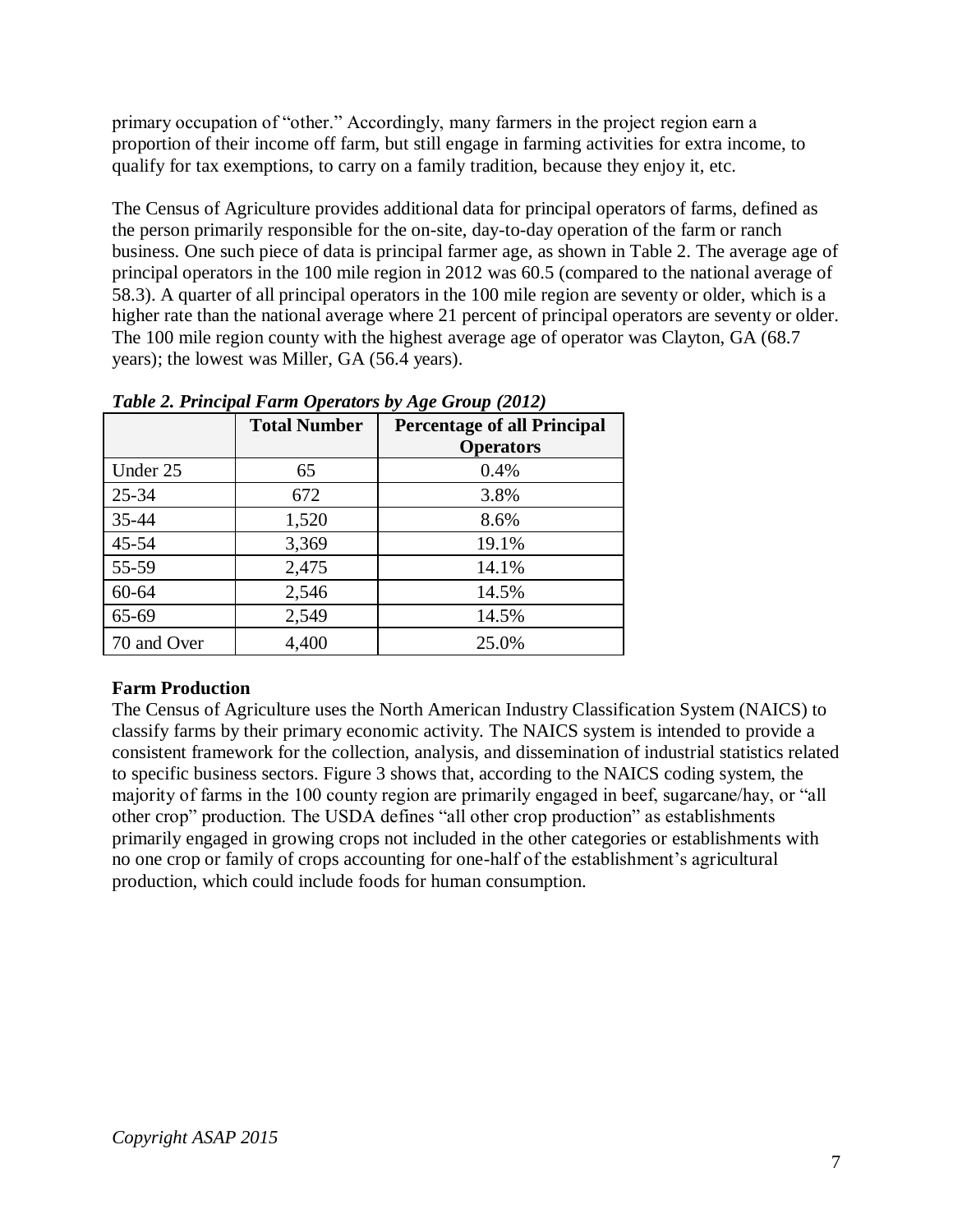primary occupation of "other." Accordingly, many farmers in the project region earn a proportion of their income off farm, but still engage in farming activities for extra income, to qualify for tax exemptions, to carry on a family tradition, because they enjoy it, etc.

The Census of Agriculture provides additional data for principal operators of farms, defined as the person primarily responsible for the on-site, day-to-day operation of the farm or ranch business. One such piece of data is principal farmer age, as shown in Table 2. The average age of principal operators in the 100 mile region in 2012 was 60.5 (compared to the national average of 58.3). A quarter of all principal operators in the 100 mile region are seventy or older, which is a higher rate than the national average where 21 percent of principal operators are seventy or older. The 100 mile region county with the highest average age of operator was Clayton, GA (68.7 years); the lowest was Miller, GA (56.4 years).

|             | <b>Total Number</b> | <b>Percentage of all Principal</b><br><b>Operators</b> |
|-------------|---------------------|--------------------------------------------------------|
| Under 25    | 65                  | 0.4%                                                   |
| $25 - 34$   | 672                 | 3.8%                                                   |
| 35-44       | 1,520               | 8.6%                                                   |
| $45 - 54$   | 3,369               | 19.1%                                                  |
| 55-59       | 2,475               | 14.1%                                                  |
| $60 - 64$   | 2,546               | 14.5%                                                  |
| 65-69       | 2,549               | 14.5%                                                  |
| 70 and Over | 4,400               | 25.0%                                                  |

*Table 2. Principal Farm Operators by Age Group (2012)*

## <span id="page-6-0"></span>**Farm Production**

The Census of Agriculture uses the North American Industry Classification System (NAICS) to classify farms by their primary economic activity. The NAICS system is intended to provide a consistent framework for the collection, analysis, and dissemination of industrial statistics related to specific business sectors. Figure 3 shows that, according to the NAICS coding system, the majority of farms in the 100 county region are primarily engaged in beef, sugarcane/hay, or "all other crop" production. The USDA defines "all other crop production" as establishments primarily engaged in growing crops not included in the other categories or establishments with no one crop or family of crops accounting for one-half of the establishment's agricultural production, which could include foods for human consumption.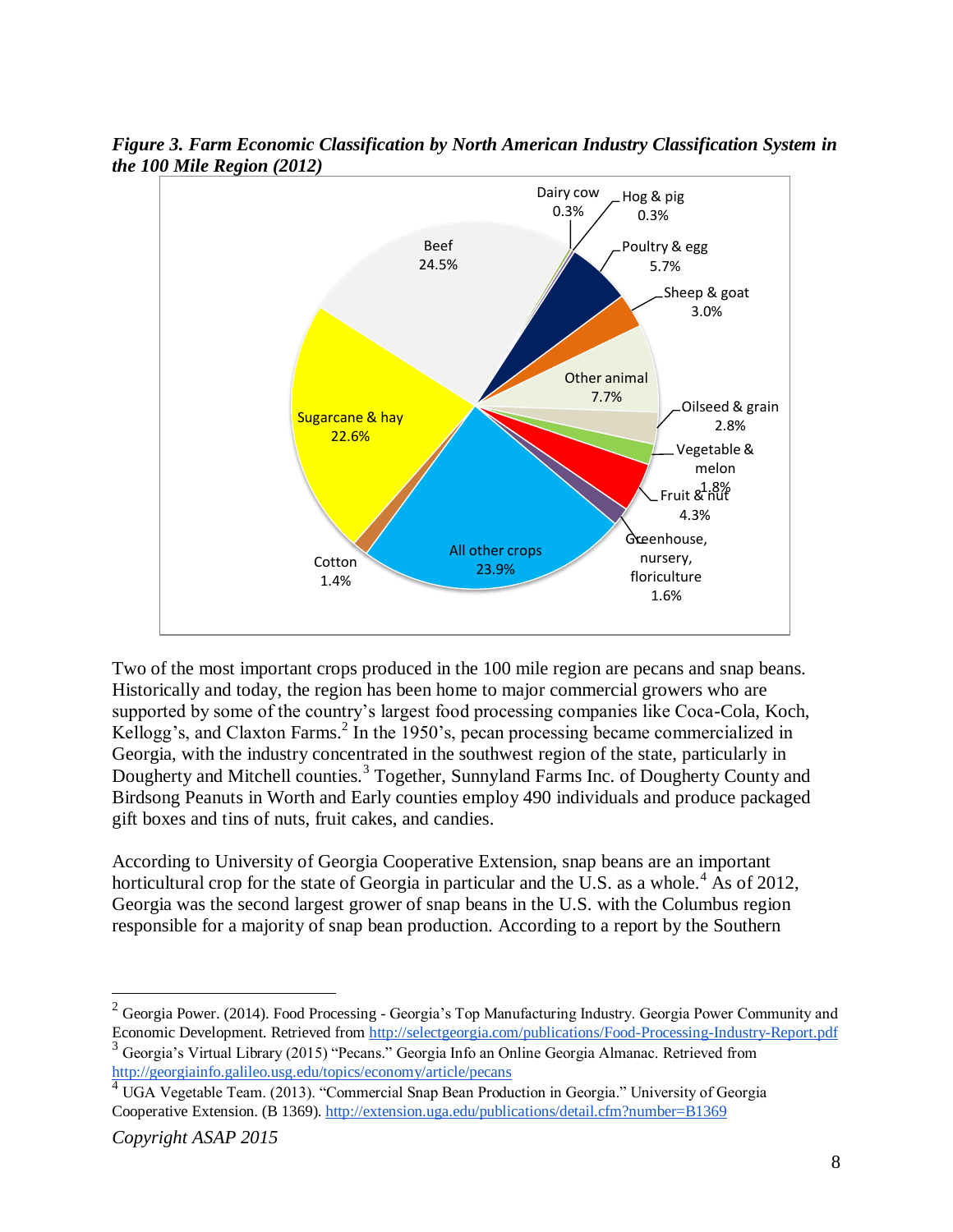

*Figure 3. Farm Economic Classification by North American Industry Classification System in the 100 Mile Region (2012)*

Two of the most important crops produced in the 100 mile region are pecans and snap beans. Historically and today, the region has been home to major commercial growers who are supported by some of the country's largest food processing companies like Coca-Cola, Koch, Kellogg's, and Claxton Farms.<sup>2</sup> In the 1950's, pecan processing became commercialized in Georgia, with the industry concentrated in the southwest region of the state, particularly in Dougherty and Mitchell counties.<sup>3</sup> Together, Sunnyland Farms Inc. of Dougherty County and Birdsong Peanuts in Worth and Early counties employ 490 individuals and produce packaged gift boxes and tins of nuts, fruit cakes, and candies.

According to University of Georgia Cooperative Extension, snap beans are an important horticultural crop for the state of Georgia in particular and the U.S. as a whole.<sup>4</sup> As of 2012, Georgia was the second largest grower of snap beans in the U.S. with the Columbus region responsible for a majority of snap bean production. According to a report by the Southern

<sup>&</sup>lt;sup>2</sup> Georgia Power. (2014). Food Processing - Georgia's Top Manufacturing Industry. Georgia Power Community and Economic Development. Retrieved from<http://selectgeorgia.com/publications/Food-Processing-Industry-Report.pdf>

<sup>&</sup>lt;sup>3</sup> Georgia's Virtual Library (2015) "Pecans." Georgia Info an Online Georgia Almanac. Retrieved from <http://georgiainfo.galileo.usg.edu/topics/economy/article/pecans>

<sup>4</sup> UGA Vegetable Team. (2013). "Commercial Snap Bean Production in Georgia." University of Georgia Cooperative Extension. (B 1369).<http://extension.uga.edu/publications/detail.cfm?number=B1369>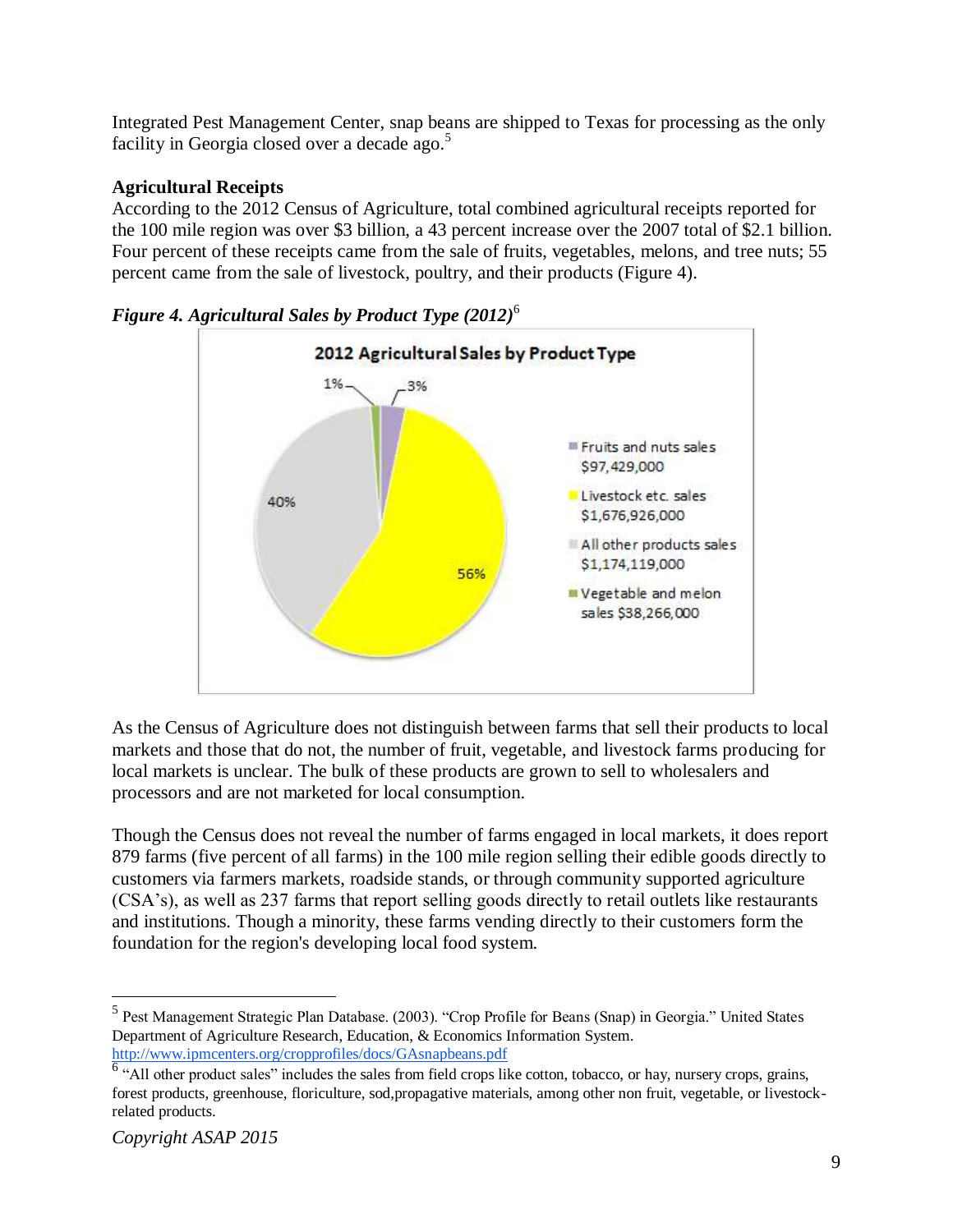Integrated Pest Management Center, snap beans are shipped to Texas for processing as the only facility in Georgia closed over a decade ago. $5$ 

## <span id="page-8-0"></span>**Agricultural Receipts**

According to the 2012 Census of Agriculture, total combined agricultural receipts reported for the 100 mile region was over \$3 billion, a 43 percent increase over the 2007 total of \$2.1 billion. Four percent of these receipts came from the sale of fruits, vegetables, melons, and tree nuts; 55 percent came from the sale of livestock, poultry, and their products (Figure 4).



*Figure 4. Agricultural Sales by Product Type (2012)* 6

As the Census of Agriculture does not distinguish between farms that sell their products to local markets and those that do not, the number of fruit, vegetable, and livestock farms producing for local markets is unclear. The bulk of these products are grown to sell to wholesalers and processors and are not marketed for local consumption.

Though the Census does not reveal the number of farms engaged in local markets, it does report 879 farms (five percent of all farms) in the 100 mile region selling their edible goods directly to customers via farmers markets, roadside stands, or through community supported agriculture (CSA's), as well as 237 farms that report selling goods directly to retail outlets like restaurants and institutions. Though a minority, these farms vending directly to their customers form the foundation for the region's developing local food system.

<sup>&</sup>lt;sup>5</sup> Pest Management Strategic Plan Database. (2003). "Crop Profile for Beans (Snap) in Georgia." United States Department of Agriculture Research, Education, & Economics Information System. <http://www.ipmcenters.org/cropprofiles/docs/GAsnapbeans.pdf>

<sup>&</sup>lt;sup>6</sup> "All other product sales" includes the sales from field crops like cotton, tobacco, or hay, nursery crops, grains, forest products, greenhouse, floriculture, sod,propagative materials, among other non fruit, vegetable, or livestockrelated products.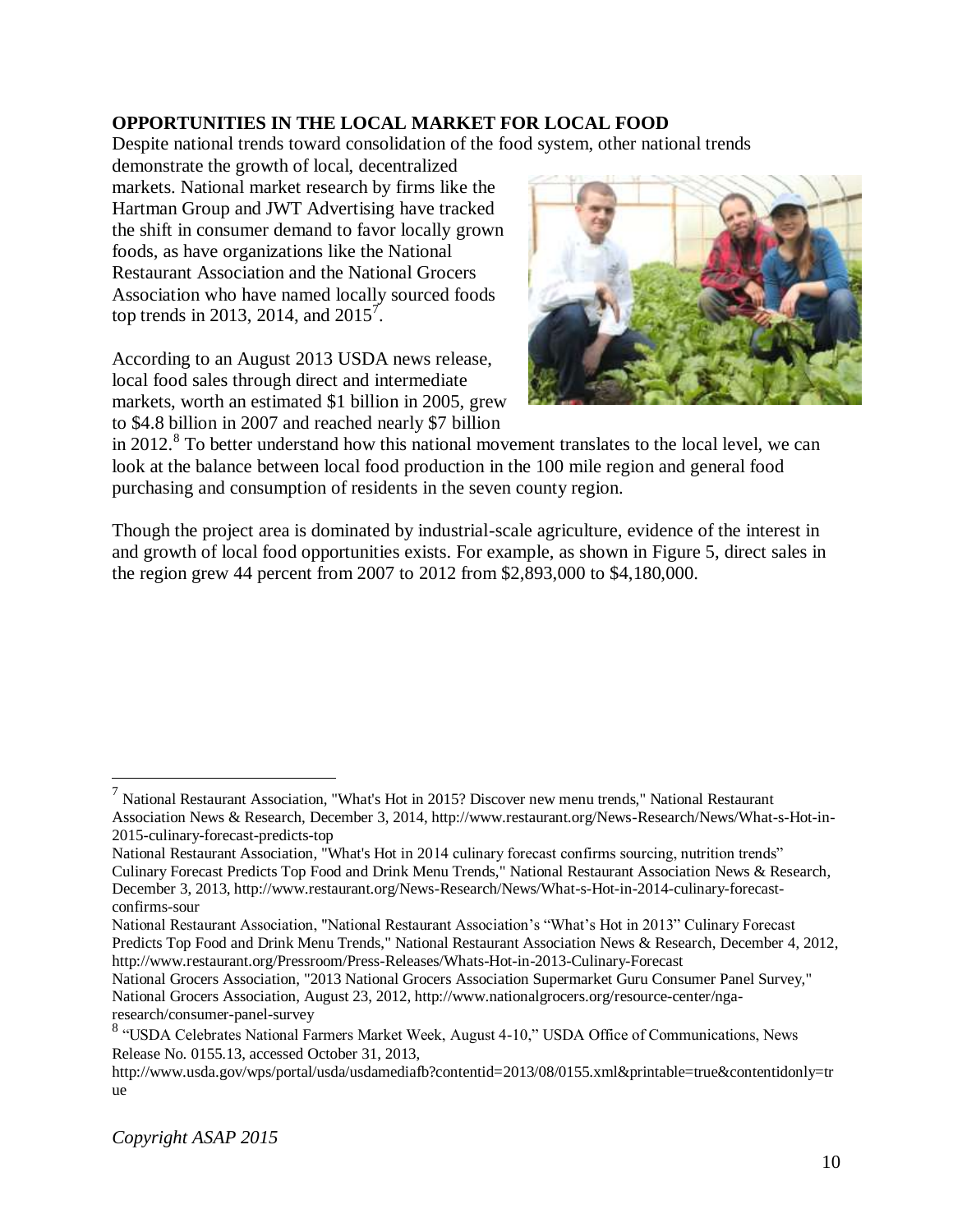## <span id="page-9-0"></span>**OPPORTUNITIES IN THE LOCAL MARKET FOR LOCAL FOOD**

Despite national trends toward consolidation of the food system, other national trends

demonstrate the growth of local, decentralized markets. National market research by firms like the Hartman Group and JWT Advertising have tracked the shift in consumer demand to favor locally grown foods, as have organizations like the National Restaurant Association and the National Grocers Association who have named locally sourced foods top trends in 2013, 2014, and  $2015^7$ .

According to an August 2013 USDA news release, local food sales through direct and intermediate markets, worth an estimated \$1 billion in 2005, grew to \$4.8 billion in 2007 and reached nearly \$7 billion



in 2012.<sup>8</sup> To better understand how this national movement translates to the local level, we can look at the balance between local food production in the 100 mile region and general food purchasing and consumption of residents in the seven county region.

Though the project area is dominated by industrial-scale agriculture, evidence of the interest in and growth of local food opportunities exists. For example, as shown in Figure 5, direct sales in the region grew 44 percent from 2007 to 2012 from \$2,893,000 to \$4,180,000.

 7 National Restaurant Association, "What's Hot in 2015? Discover new menu trends," National Restaurant Association News & Research, December 3, 2014, http://www.restaurant.org/News-Research/News/What-s-Hot-in-2015-culinary-forecast-predicts-top

National Restaurant Association, "What's Hot in 2014 culinary forecast confirms sourcing, nutrition trends" Culinary Forecast Predicts Top Food and Drink Menu Trends," National Restaurant Association News & Research, December 3, 2013, http://www.restaurant.org/News-Research/News/What-s-Hot-in-2014-culinary-forecastconfirms-sour

National Restaurant Association, "National Restaurant Association's "What's Hot in 2013" Culinary Forecast Predicts Top Food and Drink Menu Trends," National Restaurant Association News & Research, December 4, 2012, http://www.restaurant.org/Pressroom/Press-Releases/Whats-Hot-in-2013-Culinary-Forecast

National Grocers Association, "2013 National Grocers Association Supermarket Guru Consumer Panel Survey," National Grocers Association, August 23, 2012, http://www.nationalgrocers.org/resource-center/ngaresearch/consumer-panel-survey

<sup>&</sup>lt;sup>8</sup> "USDA Celebrates National Farmers Market Week, August 4-10," USDA Office of Communications, News Release No. 0155.13, accessed October 31, 2013,

http://www.usda.gov/wps/portal/usda/usdamediafb?contentid=2013/08/0155.xml&printable=true&contentidonly=tr ue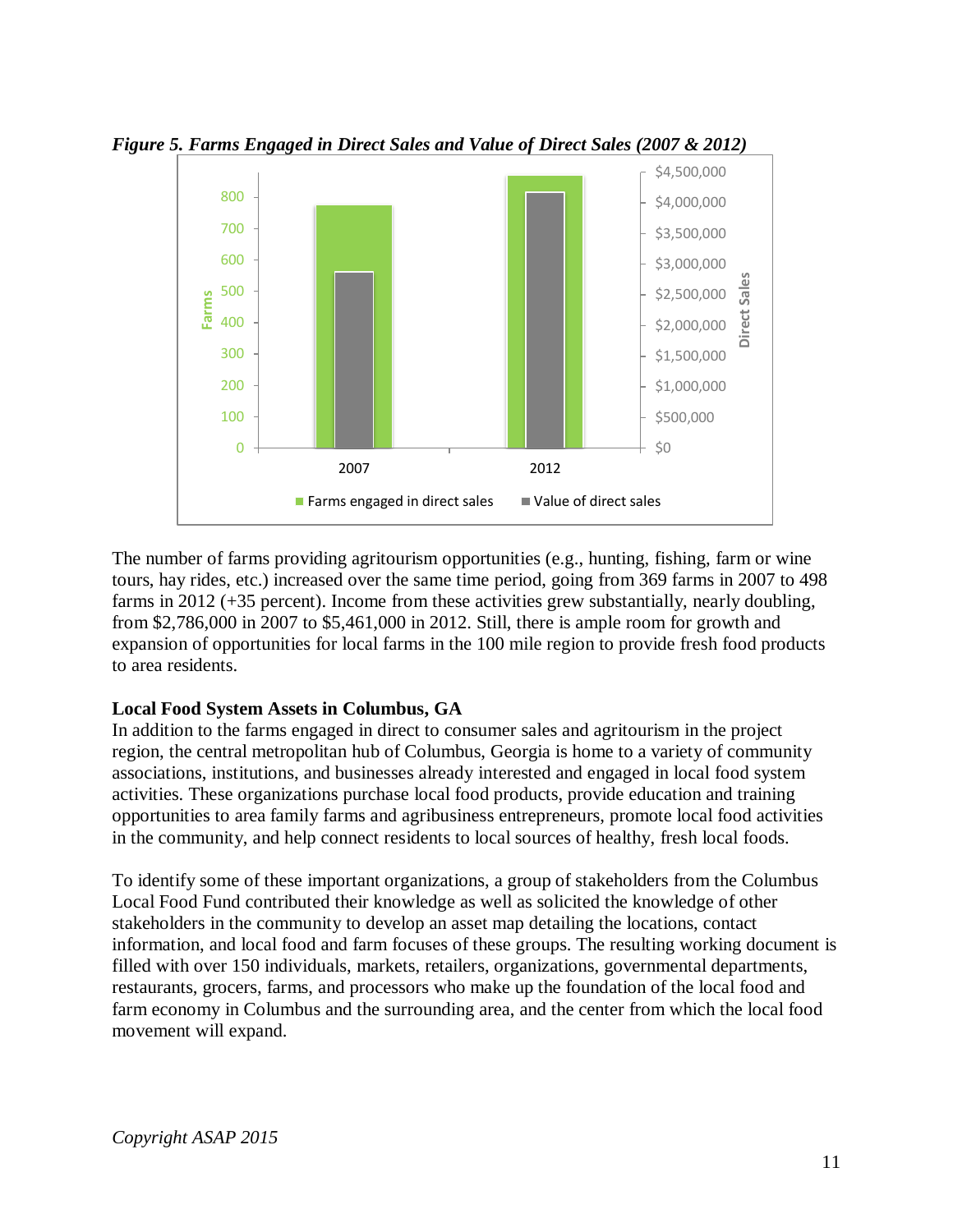

*Figure 5. Farms Engaged in Direct Sales and Value of Direct Sales (2007 & 2012)*

The number of farms providing agritourism opportunities (e.g., hunting, fishing, farm or wine tours, hay rides, etc.) increased over the same time period, going from 369 farms in 2007 to 498 farms in 2012 (+35 percent). Income from these activities grew substantially, nearly doubling, from \$2,786,000 in 2007 to \$5,461,000 in 2012. Still, there is ample room for growth and expansion of opportunities for local farms in the 100 mile region to provide fresh food products to area residents.

#### <span id="page-10-0"></span>**Local Food System Assets in Columbus, GA**

In addition to the farms engaged in direct to consumer sales and agritourism in the project region, the central metropolitan hub of Columbus, Georgia is home to a variety of community associations, institutions, and businesses already interested and engaged in local food system activities. These organizations purchase local food products, provide education and training opportunities to area family farms and agribusiness entrepreneurs, promote local food activities in the community, and help connect residents to local sources of healthy, fresh local foods.

To identify some of these important organizations, a group of stakeholders from the Columbus Local Food Fund contributed their knowledge as well as solicited the knowledge of other stakeholders in the community to develop an asset map detailing the locations, contact information, and local food and farm focuses of these groups. The resulting working document is filled with over 150 individuals, markets, retailers, organizations, governmental departments, restaurants, grocers, farms, and processors who make up the foundation of the local food and farm economy in Columbus and the surrounding area, and the center from which the local food movement will expand.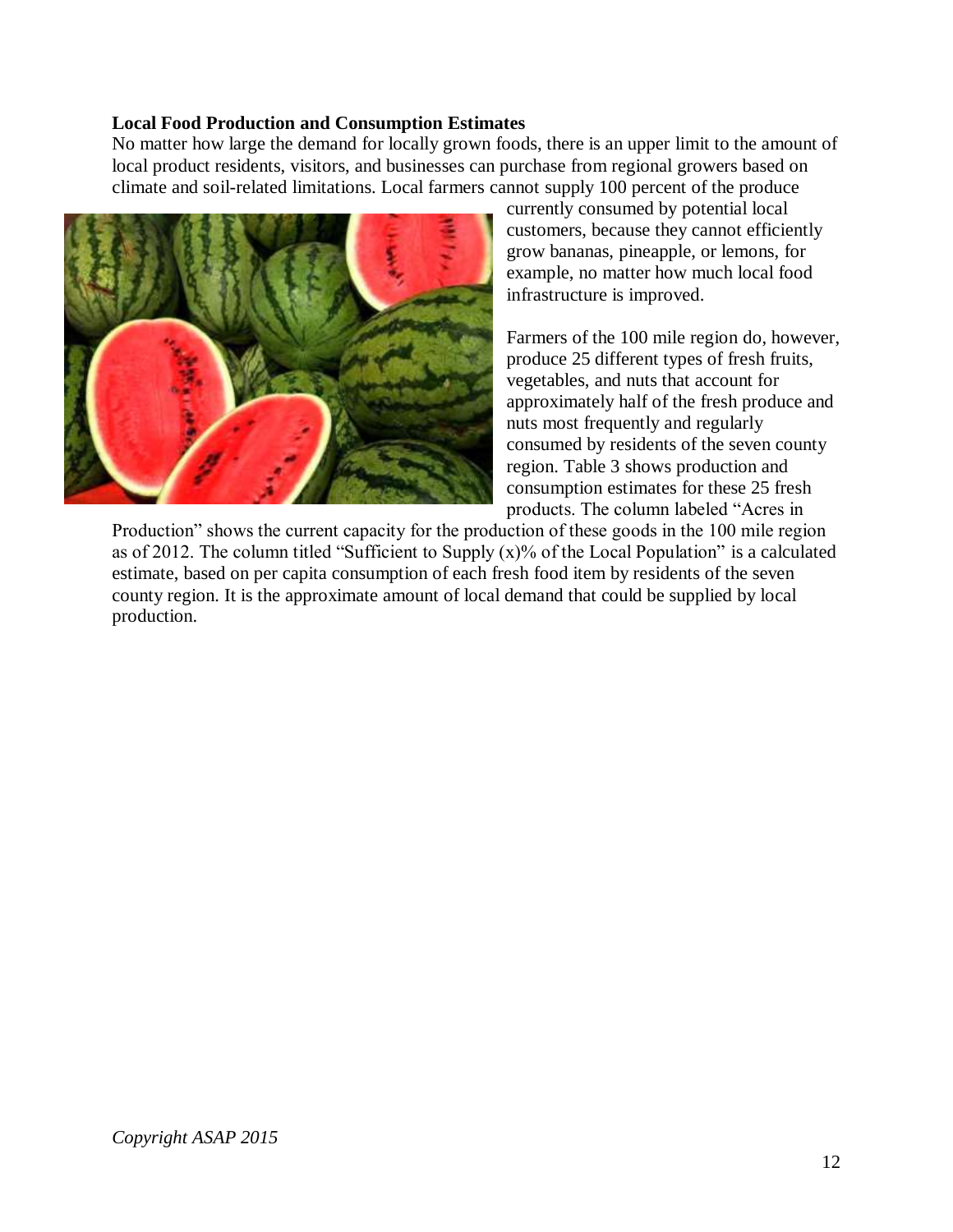#### <span id="page-11-0"></span>**Local Food Production and Consumption Estimates**

No matter how large the demand for locally grown foods, there is an upper limit to the amount of local product residents, visitors, and businesses can purchase from regional growers based on climate and soil-related limitations. Local farmers cannot supply 100 percent of the produce



currently consumed by potential local customers, because they cannot efficiently grow bananas, pineapple, or lemons, for example, no matter how much local food infrastructure is improved.

Farmers of the 100 mile region do, however, produce 25 different types of fresh fruits, vegetables, and nuts that account for approximately half of the fresh produce and nuts most frequently and regularly consumed by residents of the seven county region. Table 3 shows production and consumption estimates for these 25 fresh products. The column labeled "Acres in

Production" shows the current capacity for the production of these goods in the 100 mile region as of 2012. The column titled "Sufficient to Supply (x)% of the Local Population" is a calculated estimate, based on per capita consumption of each fresh food item by residents of the seven county region. It is the approximate amount of local demand that could be supplied by local production.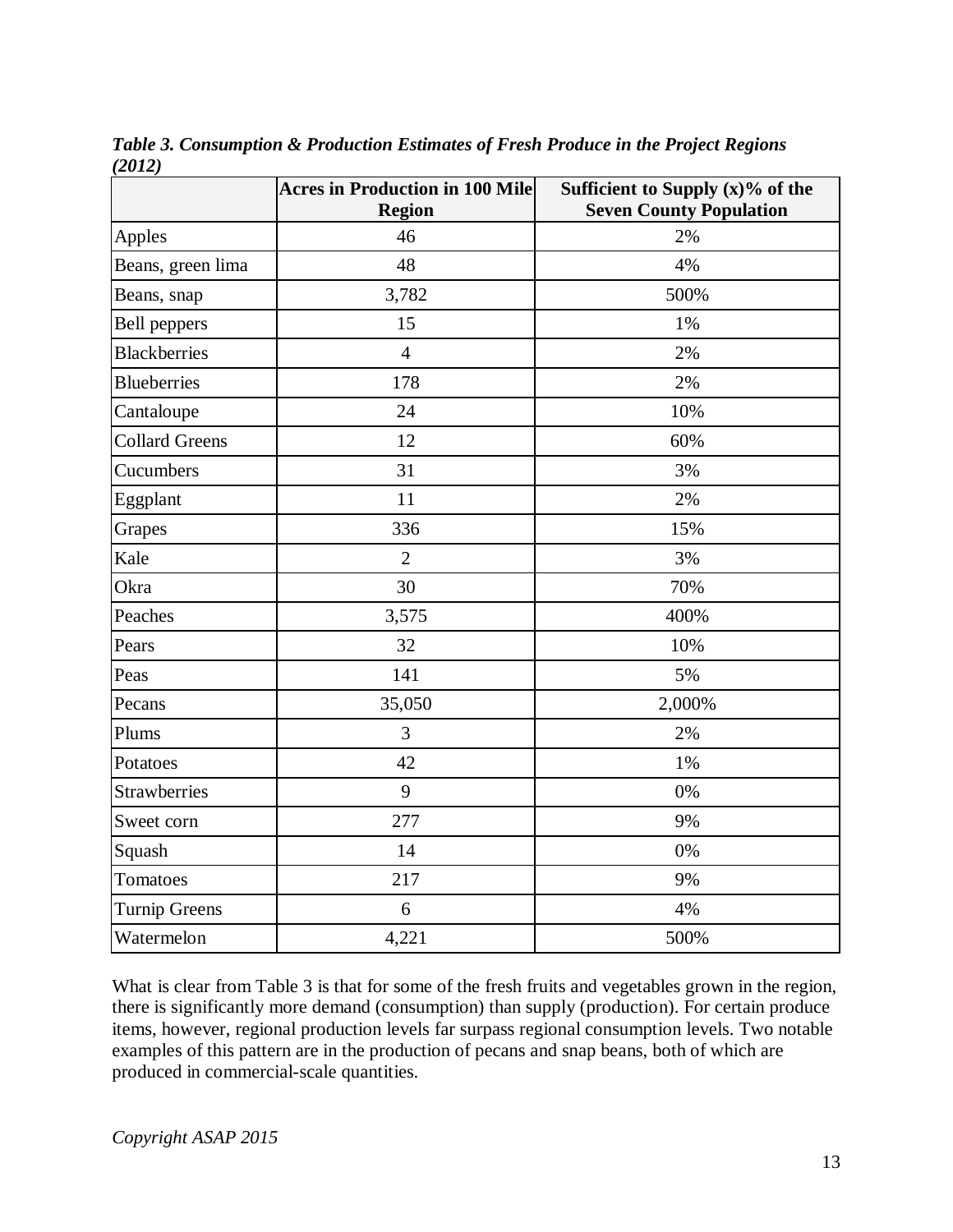|                       | <b>Acres in Production in 100 Mile</b><br><b>Region</b> | Sufficient to Supply $(x)$ % of the<br><b>Seven County Population</b> |
|-----------------------|---------------------------------------------------------|-----------------------------------------------------------------------|
| Apples                | 46                                                      | 2%                                                                    |
| Beans, green lima     | 48                                                      | 4%                                                                    |
| Beans, snap           | 3,782                                                   | 500%                                                                  |
| <b>Bell</b> peppers   | 15                                                      | 1%                                                                    |
| <b>Blackberries</b>   | $\overline{4}$                                          | 2%                                                                    |
| <b>Blueberries</b>    | 178                                                     | 2%                                                                    |
| Cantaloupe            | 24                                                      | 10%                                                                   |
| <b>Collard Greens</b> | 12                                                      | 60%                                                                   |
| Cucumbers             | 31                                                      | 3%                                                                    |
| Eggplant              | 11                                                      | 2%                                                                    |
| Grapes                | 336                                                     | 15%                                                                   |
| Kale                  | $\overline{2}$                                          | 3%                                                                    |
| Okra                  | 30                                                      | 70%                                                                   |
| Peaches               | 3,575                                                   | 400%                                                                  |
| Pears                 | 32                                                      | 10%                                                                   |
| Peas                  | 141                                                     | 5%                                                                    |
| Pecans                | 35,050                                                  | 2,000%                                                                |
| Plums                 | 3                                                       | 2%                                                                    |
| Potatoes              | 42                                                      | 1%                                                                    |
| <b>Strawberries</b>   | 9                                                       | 0%                                                                    |
| Sweet corn            | 277                                                     | 9%                                                                    |
| Squash                | 14                                                      | 0%                                                                    |
| Tomatoes              | 217                                                     | 9%                                                                    |
| <b>Turnip Greens</b>  | 6                                                       | 4%                                                                    |
| Watermelon            | 4,221                                                   | 500%                                                                  |

*Table 3. Consumption & Production Estimates of Fresh Produce in the Project Regions (2012)*

What is clear from Table 3 is that for some of the fresh fruits and vegetables grown in the region, there is significantly more demand (consumption) than supply (production). For certain produce items, however, regional production levels far surpass regional consumption levels. Two notable examples of this pattern are in the production of pecans and snap beans, both of which are produced in commercial-scale quantities.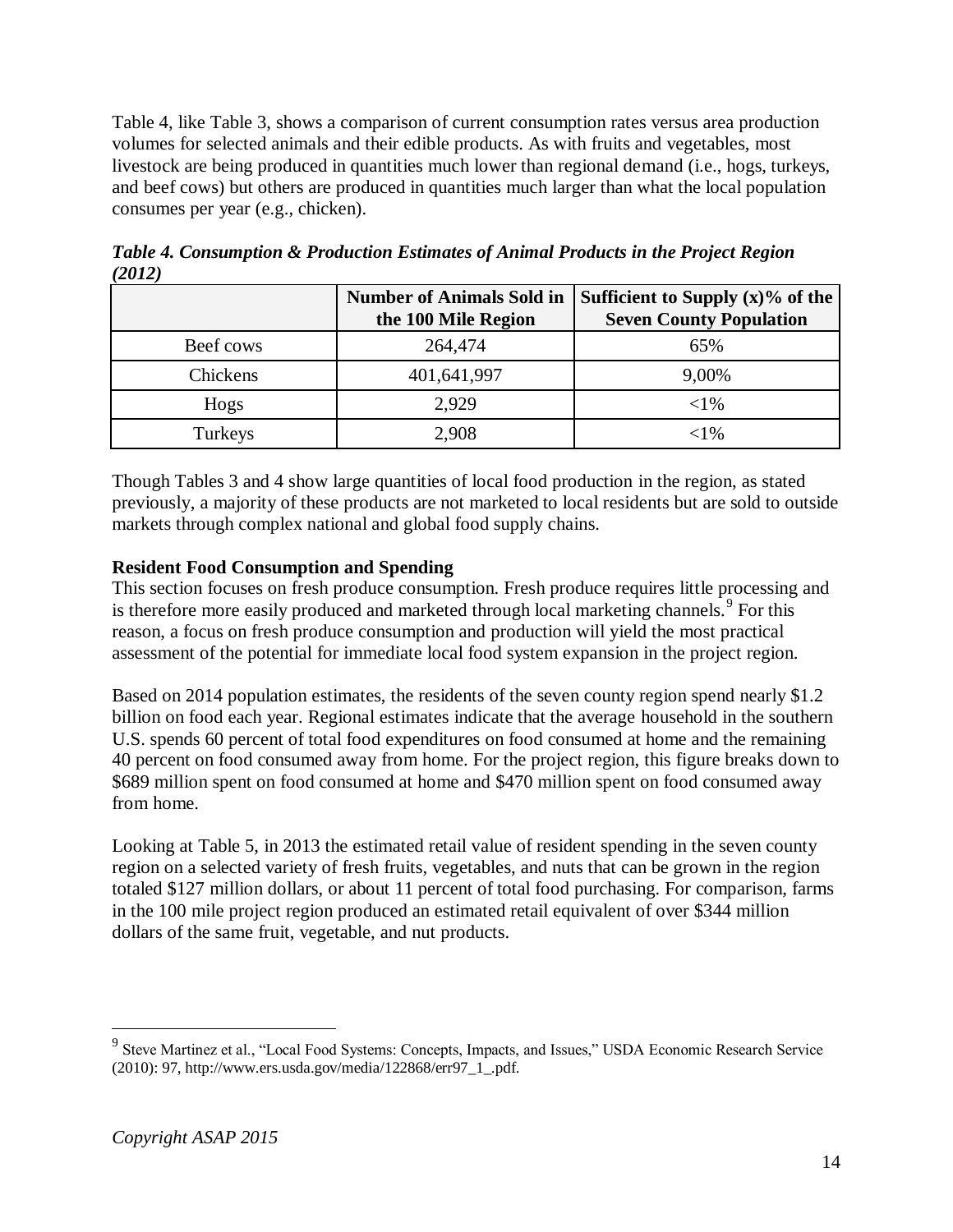Table 4, like Table 3, shows a comparison of current consumption rates versus area production volumes for selected animals and their edible products. As with fruits and vegetables, most livestock are being produced in quantities much lower than regional demand (i.e., hogs, turkeys, and beef cows) but others are produced in quantities much larger than what the local population consumes per year (e.g., chicken).

|           | <b>Number of Animals Sold in</b><br>the 100 Mile Region | Sufficient to Supply $(x)$ % of the<br><b>Seven County Population</b> |
|-----------|---------------------------------------------------------|-----------------------------------------------------------------------|
| Beef cows | 264,474                                                 | 65%                                                                   |
| Chickens  | 401,641,997                                             | 9,00%                                                                 |
| Hogs      | 2.929                                                   | ${<}1\%$                                                              |
| Turkeys   | 2,908                                                   | ${<}1\%$                                                              |

*Table 4. Consumption & Production Estimates of Animal Products in the Project Region (2012)*

Though Tables 3 and 4 show large quantities of local food production in the region, as stated previously, a majority of these products are not marketed to local residents but are sold to outside markets through complex national and global food supply chains.

## <span id="page-13-0"></span>**Resident Food Consumption and Spending**

This section focuses on fresh produce consumption. Fresh produce requires little processing and is therefore more easily produced and marketed through local marketing channels.<sup>9</sup> For this reason, a focus on fresh produce consumption and production will yield the most practical assessment of the potential for immediate local food system expansion in the project region.

Based on 2014 population estimates, the residents of the seven county region spend nearly \$1.2 billion on food each year. Regional estimates indicate that the average household in the southern U.S. spends 60 percent of total food expenditures on food consumed at home and the remaining 40 percent on food consumed away from home. For the project region, this figure breaks down to \$689 million spent on food consumed at home and \$470 million spent on food consumed away from home.

Looking at Table 5, in 2013 the estimated retail value of resident spending in the seven county region on a selected variety of fresh fruits, vegetables, and nuts that can be grown in the region totaled \$127 million dollars, or about 11 percent of total food purchasing. For comparison, farms in the 100 mile project region produced an estimated retail equivalent of over \$344 million dollars of the same fruit, vegetable, and nut products.

<sup>&</sup>lt;sup>9</sup> Steve Martinez et al., "Local Food Systems: Concepts, Impacts, and Issues," USDA Economic Research Service (2010): 97, http://www.ers.usda.gov/media/122868/err97\_1\_.pdf.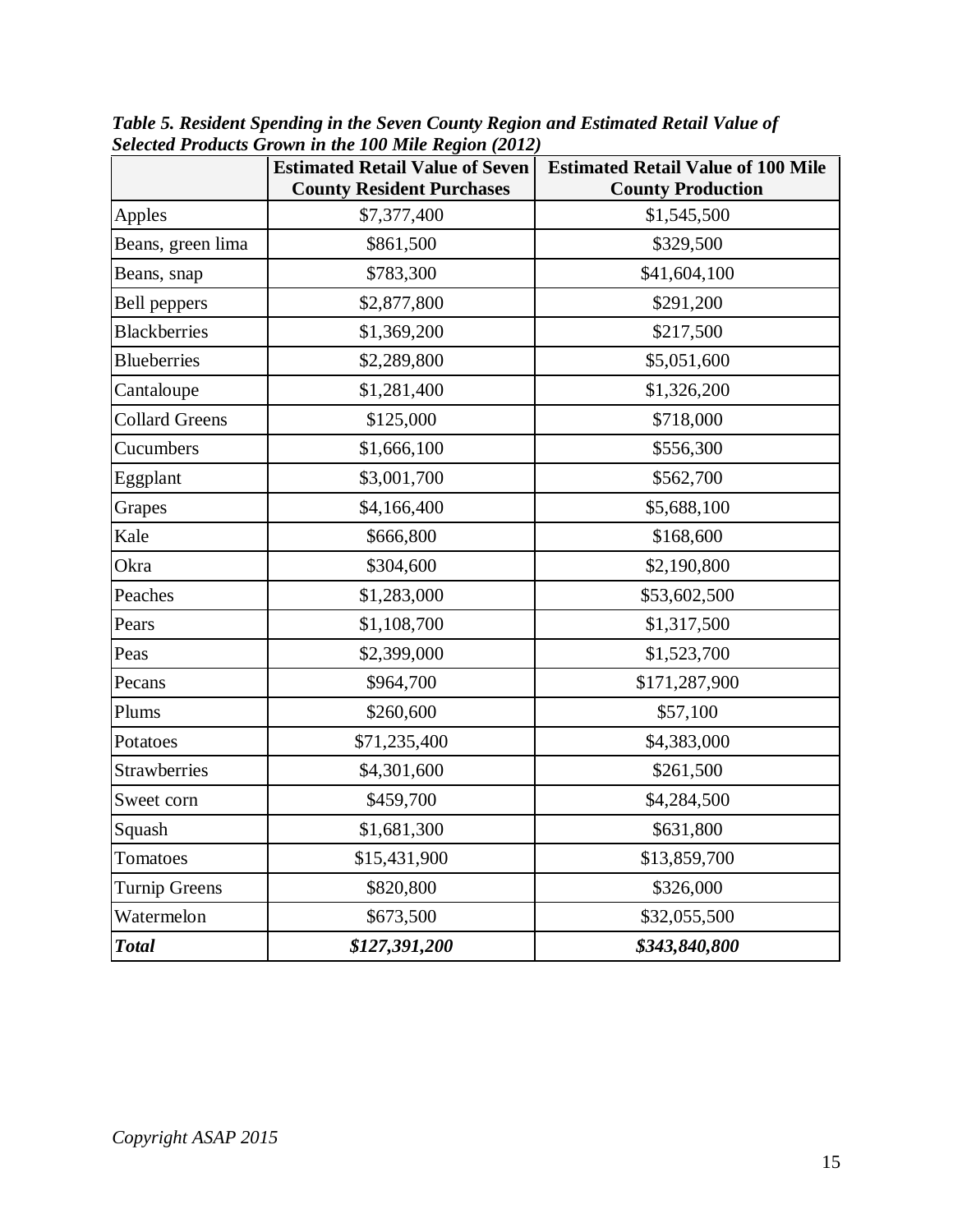|                       | $\frac{1}{2}$<br><b>Estimated Retail Value of Seven</b><br><b>County Resident Purchases</b> | <b>Estimated Retail Value of 100 Mile</b><br><b>County Production</b> |
|-----------------------|---------------------------------------------------------------------------------------------|-----------------------------------------------------------------------|
| Apples                | \$7,377,400                                                                                 | \$1,545,500                                                           |
| Beans, green lima     | \$861,500                                                                                   | \$329,500                                                             |
| Beans, snap           | \$783,300                                                                                   | \$41,604,100                                                          |
| <b>Bell</b> peppers   | \$2,877,800                                                                                 | \$291,200                                                             |
| <b>Blackberries</b>   | \$1,369,200                                                                                 | \$217,500                                                             |
| <b>Blueberries</b>    | \$2,289,800                                                                                 | \$5,051,600                                                           |
| Cantaloupe            | \$1,281,400                                                                                 | \$1,326,200                                                           |
| <b>Collard Greens</b> | \$125,000                                                                                   | \$718,000                                                             |
| Cucumbers             | \$1,666,100                                                                                 | \$556,300                                                             |
| Eggplant              | \$3,001,700                                                                                 | \$562,700                                                             |
| Grapes                | \$4,166,400                                                                                 | \$5,688,100                                                           |
| Kale                  | \$666,800                                                                                   | \$168,600                                                             |
| Okra                  | \$304,600                                                                                   | \$2,190,800                                                           |
| Peaches               | \$1,283,000                                                                                 | \$53,602,500                                                          |
| Pears                 | \$1,108,700                                                                                 | \$1,317,500                                                           |
| Peas                  | \$2,399,000                                                                                 | \$1,523,700                                                           |
| Pecans                | \$964,700                                                                                   | \$171,287,900                                                         |
| Plums                 | \$260,600                                                                                   | \$57,100                                                              |
| Potatoes              | \$71,235,400                                                                                | \$4,383,000                                                           |
| <b>Strawberries</b>   | \$4,301,600                                                                                 | \$261,500                                                             |
| Sweet corn            | \$459,700                                                                                   | \$4,284,500                                                           |
| Squash                | \$1,681,300                                                                                 | \$631,800                                                             |
| Tomatoes              | \$15,431,900                                                                                | \$13,859,700                                                          |
| <b>Turnip Greens</b>  | \$820,800                                                                                   | \$326,000                                                             |
| Watermelon            | \$673,500                                                                                   | \$32,055,500                                                          |
| <b>Total</b>          | \$127,391,200                                                                               | \$343,840,800                                                         |

*Table 5. Resident Spending in the Seven County Region and Estimated Retail Value of Selected Products Grown in the 100 Mile Region (2012)*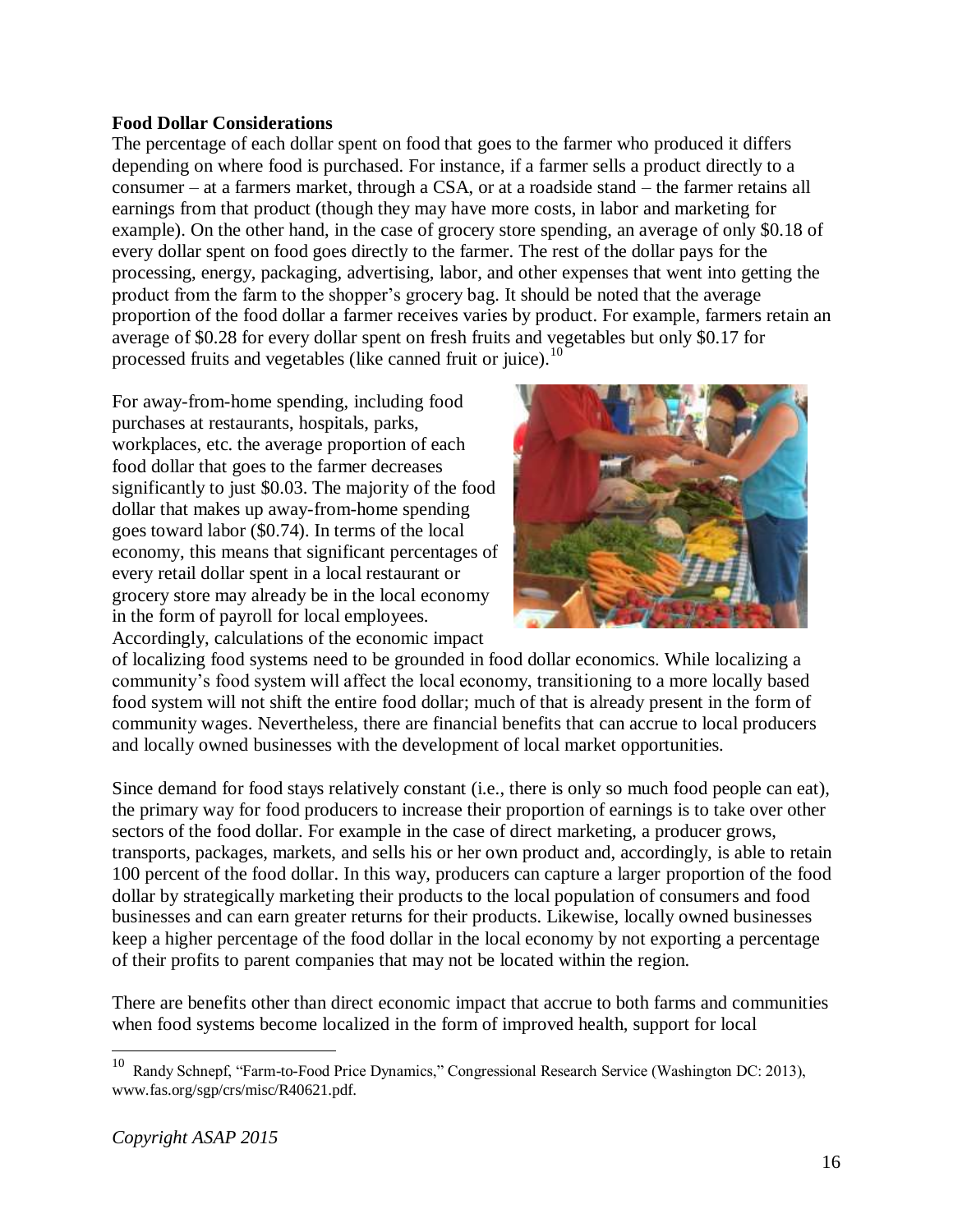#### <span id="page-15-0"></span>**Food Dollar Considerations**

The percentage of each dollar spent on food that goes to the farmer who produced it differs depending on where food is purchased. For instance, if a farmer sells a product directly to a consumer – at a farmers market, through a CSA, or at a roadside stand – the farmer retains all earnings from that product (though they may have more costs, in labor and marketing for example). On the other hand, in the case of grocery store spending, an average of only \$0.18 of every dollar spent on food goes directly to the farmer. The rest of the dollar pays for the processing, energy, packaging, advertising, labor, and other expenses that went into getting the product from the farm to the shopper's grocery bag. It should be noted that the average proportion of the food dollar a farmer receives varies by product. For example, farmers retain an average of \$0.28 for every dollar spent on fresh fruits and vegetables but only \$0.17 for processed fruits and vegetables (like canned fruit or juice).<sup>10</sup>

For away-from-home spending, including food purchases at restaurants, hospitals, parks, workplaces, etc. the average proportion of each food dollar that goes to the farmer decreases significantly to just \$0.03. The majority of the food dollar that makes up away-from-home spending goes toward labor (\$0.74). In terms of the local economy, this means that significant percentages of every retail dollar spent in a local restaurant or grocery store may already be in the local economy in the form of payroll for local employees. Accordingly, calculations of the economic impact



of localizing food systems need to be grounded in food dollar economics. While localizing a community's food system will affect the local economy, transitioning to a more locally based food system will not shift the entire food dollar; much of that is already present in the form of community wages. Nevertheless, there are financial benefits that can accrue to local producers and locally owned businesses with the development of local market opportunities.

Since demand for food stays relatively constant (i.e., there is only so much food people can eat), the primary way for food producers to increase their proportion of earnings is to take over other sectors of the food dollar. For example in the case of direct marketing, a producer grows, transports, packages, markets, and sells his or her own product and, accordingly, is able to retain 100 percent of the food dollar. In this way, producers can capture a larger proportion of the food dollar by strategically marketing their products to the local population of consumers and food businesses and can earn greater returns for their products. Likewise, locally owned businesses keep a higher percentage of the food dollar in the local economy by not exporting a percentage of their profits to parent companies that may not be located within the region.

There are benefits other than direct economic impact that accrue to both farms and communities when food systems become localized in the form of improved health, support for local

<sup>10</sup> Randy Schnepf, "Farm-to-Food Price Dynamics," Congressional Research Service (Washington DC: 2013), www.fas.org/sgp/crs/misc/R40621.pdf.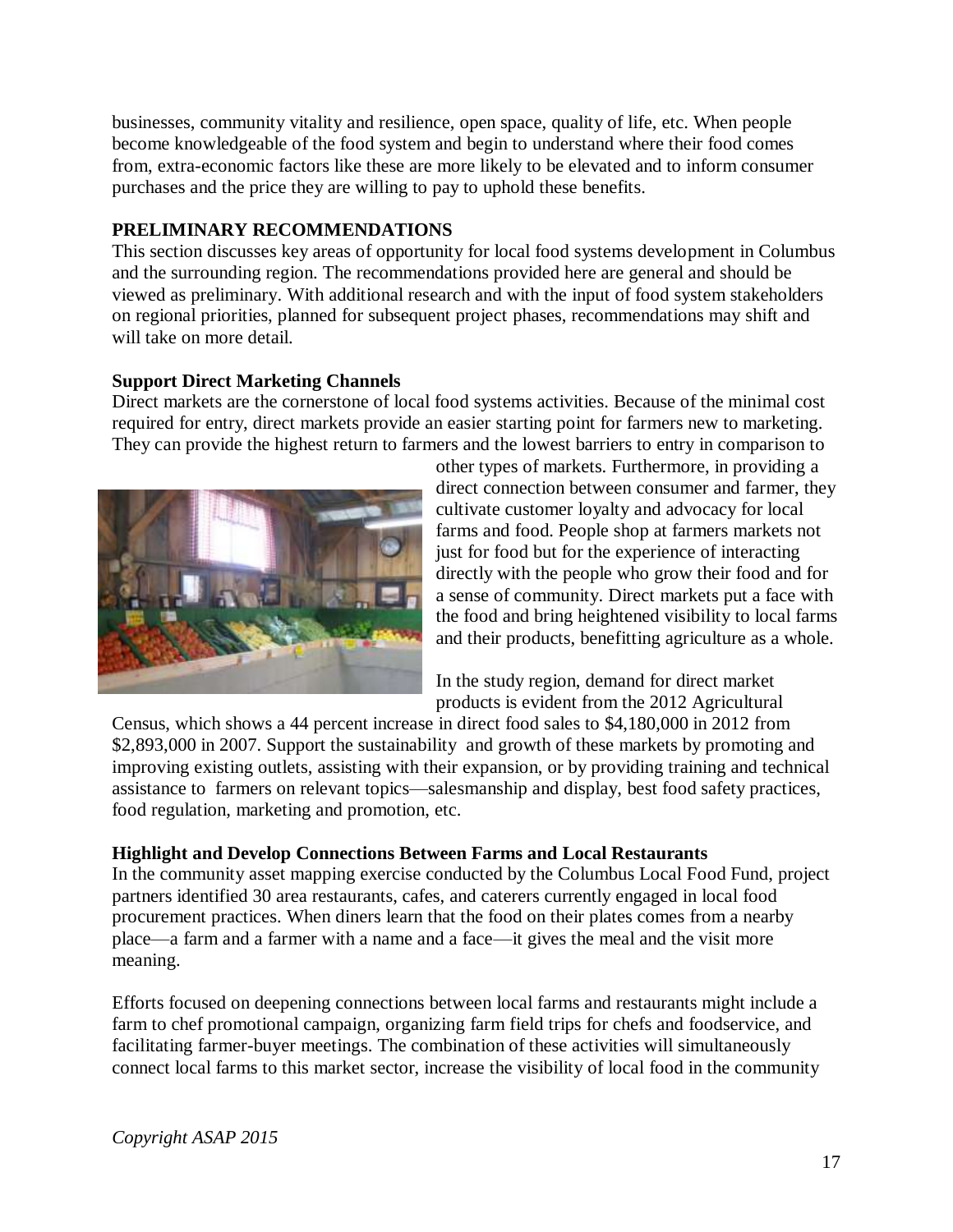businesses, community vitality and resilience, open space, quality of life, etc. When people become knowledgeable of the food system and begin to understand where their food comes from, extra-economic factors like these are more likely to be elevated and to inform consumer purchases and the price they are willing to pay to uphold these benefits.

## <span id="page-16-0"></span>**PRELIMINARY RECOMMENDATIONS**

This section discusses key areas of opportunity for local food systems development in Columbus and the surrounding region. The recommendations provided here are general and should be viewed as preliminary. With additional research and with the input of food system stakeholders on regional priorities, planned for subsequent project phases, recommendations may shift and will take on more detail.

## <span id="page-16-1"></span>**Support Direct Marketing Channels**

Direct markets are the cornerstone of local food systems activities. Because of the minimal cost required for entry, direct markets provide an easier starting point for farmers new to marketing. They can provide the highest return to farmers and the lowest barriers to entry in comparison to



other types of markets. Furthermore, in providing a direct connection between consumer and farmer, they cultivate customer loyalty and advocacy for local farms and food. People shop at farmers markets not just for food but for the experience of interacting directly with the people who grow their food and for a sense of community. Direct markets put a face with the food and bring heightened visibility to local farms and their products, benefitting agriculture as a whole.

In the study region, demand for direct market products is evident from the 2012 Agricultural

Census, which shows a 44 percent increase in direct food sales to \$4,180,000 in 2012 from \$2,893,000 in 2007. Support the sustainability and growth of these markets by promoting and improving existing outlets, assisting with their expansion, or by providing training and technical assistance to farmers on relevant topics—salesmanship and display, best food safety practices, food regulation, marketing and promotion, etc.

## <span id="page-16-2"></span>**Highlight and Develop Connections Between Farms and Local Restaurants**

In the community asset mapping exercise conducted by the Columbus Local Food Fund, project partners identified 30 area restaurants, cafes, and caterers currently engaged in local food procurement practices. When diners learn that the food on their plates comes from a nearby place—a farm and a farmer with a name and a face—it gives the meal and the visit more meaning.

Efforts focused on deepening connections between local farms and restaurants might include a farm to chef promotional campaign, organizing farm field trips for chefs and foodservice, and facilitating farmer-buyer meetings. The combination of these activities will simultaneously connect local farms to this market sector, increase the visibility of local food in the community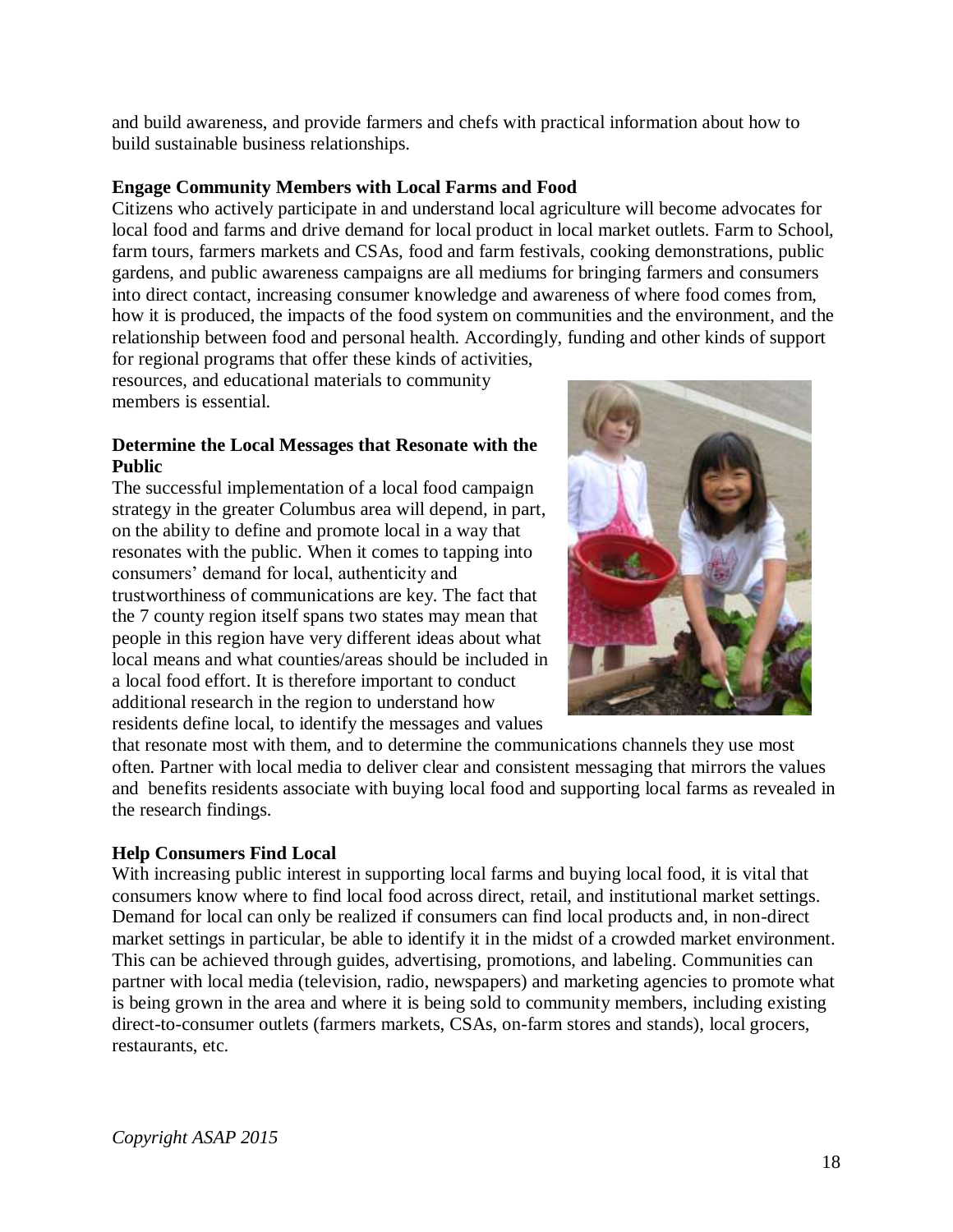and build awareness, and provide farmers and chefs with practical information about how to build sustainable business relationships.

## <span id="page-17-0"></span>**Engage Community Members with Local Farms and Food**

Citizens who actively participate in and understand local agriculture will become advocates for local food and farms and drive demand for local product in local market outlets. Farm to School, farm tours, farmers markets and CSAs, food and farm festivals, cooking demonstrations, public gardens, and public awareness campaigns are all mediums for bringing farmers and consumers into direct contact, increasing consumer knowledge and awareness of where food comes from, how it is produced, the impacts of the food system on communities and the environment, and the relationship between food and personal health. Accordingly, funding and other kinds of support for regional programs that offer these kinds of activities,

resources, and educational materials to community members is essential.

#### <span id="page-17-1"></span>**Determine the Local Messages that Resonate with the Public**

The successful implementation of a local food campaign strategy in the greater Columbus area will depend, in part, on the ability to define and promote local in a way that resonates with the public. When it comes to tapping into consumers' demand for local, authenticity and trustworthiness of communications are key. The fact that the 7 county region itself spans two states may mean that people in this region have very different ideas about what local means and what counties/areas should be included in a local food effort. It is therefore important to conduct additional research in the region to understand how residents define local, to identify the messages and values



that resonate most with them, and to determine the communications channels they use most often. Partner with local media to deliver clear and consistent messaging that mirrors the values and benefits residents associate with buying local food and supporting local farms as revealed in the research findings.

## <span id="page-17-2"></span>**Help Consumers Find Local**

With increasing public interest in supporting local farms and buying local food, it is vital that consumers know where to find local food across direct, retail, and institutional market settings. Demand for local can only be realized if consumers can find local products and, in non-direct market settings in particular, be able to identify it in the midst of a crowded market environment. This can be achieved through guides, advertising, promotions, and labeling. Communities can partner with local media (television, radio, newspapers) and marketing agencies to promote what is being grown in the area and where it is being sold to community members, including existing direct-to-consumer outlets (farmers markets, CSAs, on-farm stores and stands), local grocers, restaurants, etc.